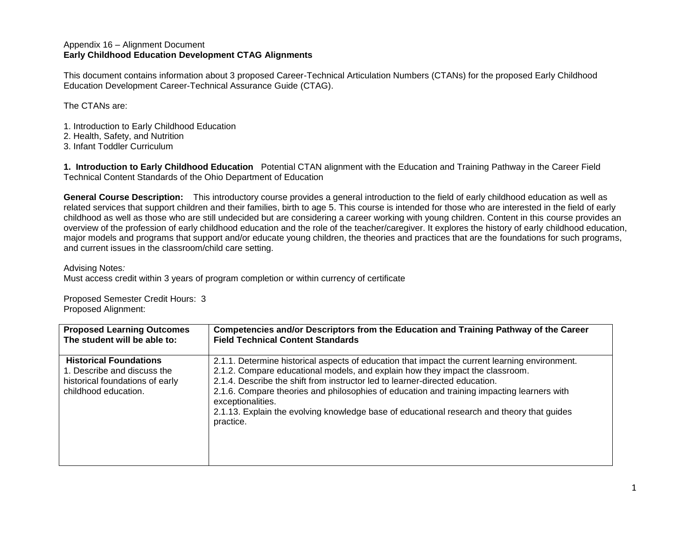## Appendix 16 – Alignment Document **Early Childhood Education Development CTAG Alignments**

This document contains information about 3 proposed Career-Technical Articulation Numbers (CTANs) for the proposed Early Childhood Education Development Career-Technical Assurance Guide (CTAG).

The CTANs are:

- 1. Introduction to Early Childhood Education
- 2. Health, Safety, and Nutrition
- 3. Infant Toddler Curriculum

**1. Introduction to Early Childhood Education** Potential CTAN alignment with the Education and Training Pathway in the Career Field Technical Content Standards of the Ohio Department of Education

**General Course Description:**This introductory course provides a general introduction to the field of early childhood education as well as related services that support children and their families, birth to age 5. This course is intended for those who are interested in the field of early childhood as well as those who are still undecided but are considering a career working with young children. Content in this course provides an overview of the profession of early childhood education and the role of the teacher/caregiver. It explores the history of early childhood education, major models and programs that support and/or educate young children, the theories and practices that are the foundations for such programs, and current issues in the classroom/child care setting.

Advising Notes*:*

Must access credit within 3 years of program completion or within currency of certificate

Proposed Semester Credit Hours: 3 Proposed Alignment:

| <b>Proposed Learning Outcomes</b>                                                                                       | Competencies and/or Descriptors from the Education and Training Pathway of the Career                                                                                                                                                                                                                                                                                                                                                                                                         |
|-------------------------------------------------------------------------------------------------------------------------|-----------------------------------------------------------------------------------------------------------------------------------------------------------------------------------------------------------------------------------------------------------------------------------------------------------------------------------------------------------------------------------------------------------------------------------------------------------------------------------------------|
| The student will be able to:                                                                                            | <b>Field Technical Content Standards</b>                                                                                                                                                                                                                                                                                                                                                                                                                                                      |
| <b>Historical Foundations</b><br>1. Describe and discuss the<br>historical foundations of early<br>childhood education. | 2.1.1. Determine historical aspects of education that impact the current learning environment.<br>2.1.2. Compare educational models, and explain how they impact the classroom.<br>2.1.4. Describe the shift from instructor led to learner-directed education.<br>2.1.6. Compare theories and philosophies of education and training impacting learners with<br>exceptionalities.<br>2.1.13. Explain the evolving knowledge base of educational research and theory that guides<br>practice. |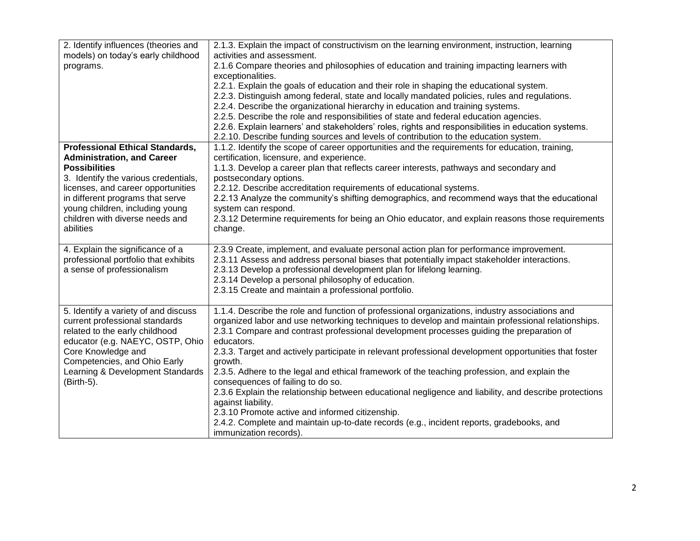| 2. Identify influences (theories and   | 2.1.3. Explain the impact of constructivism on the learning environment, instruction, learning        |
|----------------------------------------|-------------------------------------------------------------------------------------------------------|
| models) on today's early childhood     | activities and assessment.                                                                            |
| programs.                              | 2.1.6 Compare theories and philosophies of education and training impacting learners with             |
|                                        | exceptionalities.                                                                                     |
|                                        | 2.2.1. Explain the goals of education and their role in shaping the educational system.               |
|                                        | 2.2.3. Distinguish among federal, state and locally mandated policies, rules and regulations.         |
|                                        | 2.2.4. Describe the organizational hierarchy in education and training systems.                       |
|                                        | 2.2.5. Describe the role and responsibilities of state and federal education agencies.                |
|                                        | 2.2.6. Explain learners' and stakeholders' roles, rights and responsibilities in education systems.   |
|                                        | 2.2.10. Describe funding sources and levels of contribution to the education system.                  |
| <b>Professional Ethical Standards,</b> | 1.1.2. Identify the scope of career opportunities and the requirements for education, training,       |
| <b>Administration, and Career</b>      | certification, licensure, and experience.                                                             |
| <b>Possibilities</b>                   | 1.1.3. Develop a career plan that reflects career interests, pathways and secondary and               |
| 3. Identify the various credentials,   | postsecondary options.                                                                                |
| licenses, and career opportunities     | 2.2.12. Describe accreditation requirements of educational systems.                                   |
| in different programs that serve       | 2.2.13 Analyze the community's shifting demographics, and recommend ways that the educational         |
| young children, including young        | system can respond.                                                                                   |
| children with diverse needs and        | 2.3.12 Determine requirements for being an Ohio educator, and explain reasons those requirements      |
| abilities                              | change.                                                                                               |
|                                        |                                                                                                       |
| 4. Explain the significance of a       | 2.3.9 Create, implement, and evaluate personal action plan for performance improvement.               |
| professional portfolio that exhibits   | 2.3.11 Assess and address personal biases that potentially impact stakeholder interactions.           |
| a sense of professionalism             | 2.3.13 Develop a professional development plan for lifelong learning.                                 |
|                                        | 2.3.14 Develop a personal philosophy of education.                                                    |
|                                        | 2.3.15 Create and maintain a professional portfolio.                                                  |
|                                        |                                                                                                       |
| 5. Identify a variety of and discuss   | 1.1.4. Describe the role and function of professional organizations, industry associations and        |
| current professional standards         | organized labor and use networking techniques to develop and maintain professional relationships.     |
| related to the early childhood         | 2.3.1 Compare and contrast professional development processes guiding the preparation of              |
| educator (e.g. NAEYC, OSTP, Ohio       | educators.                                                                                            |
| Core Knowledge and                     | 2.3.3. Target and actively participate in relevant professional development opportunities that foster |
| Competencies, and Ohio Early           | growth.                                                                                               |
| Learning & Development Standards       | 2.3.5. Adhere to the legal and ethical framework of the teaching profession, and explain the          |
| (Birth-5).                             | consequences of failing to do so.                                                                     |
|                                        | 2.3.6 Explain the relationship between educational negligence and liability, and describe protections |
|                                        | against liability.                                                                                    |
|                                        | 2.3.10 Promote active and informed citizenship.                                                       |
|                                        | 2.4.2. Complete and maintain up-to-date records (e.g., incident reports, gradebooks, and              |
|                                        | immunization records).                                                                                |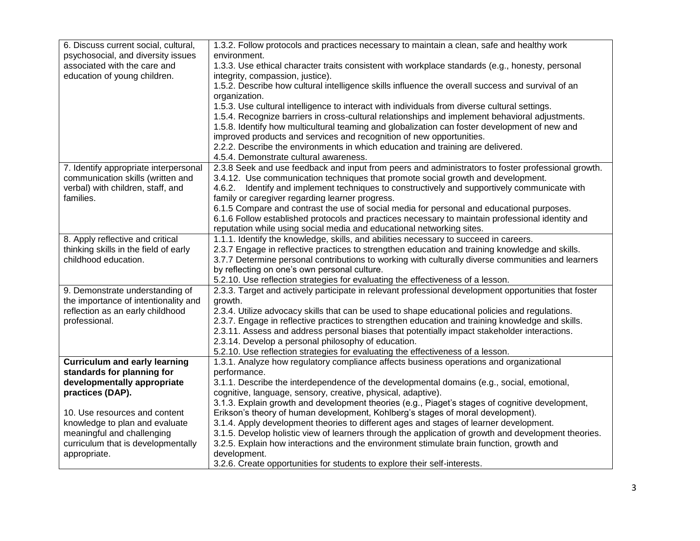| 6. Discuss current social, cultural,  | 1.3.2. Follow protocols and practices necessary to maintain a clean, safe and healthy work            |
|---------------------------------------|-------------------------------------------------------------------------------------------------------|
| psychosocial, and diversity issues    | environment.                                                                                          |
| associated with the care and          | 1.3.3. Use ethical character traits consistent with workplace standards (e.g., honesty, personal      |
| education of young children.          | integrity, compassion, justice).                                                                      |
|                                       | 1.5.2. Describe how cultural intelligence skills influence the overall success and survival of an     |
|                                       | organization.                                                                                         |
|                                       | 1.5.3. Use cultural intelligence to interact with individuals from diverse cultural settings.         |
|                                       | 1.5.4. Recognize barriers in cross-cultural relationships and implement behavioral adjustments.       |
|                                       | 1.5.8. Identify how multicultural teaming and globalization can foster development of new and         |
|                                       | improved products and services and recognition of new opportunities.                                  |
|                                       | 2.2.2. Describe the environments in which education and training are delivered.                       |
|                                       | 4.5.4. Demonstrate cultural awareness.                                                                |
| 7. Identify appropriate interpersonal | 2.3.8 Seek and use feedback and input from peers and administrators to foster professional growth.    |
| communication skills (written and     | 3.4.12. Use communication techniques that promote social growth and development.                      |
| verbal) with children, staff, and     | 4.6.2. Identify and implement techniques to constructively and supportively communicate with          |
| families.                             | family or caregiver regarding learner progress.                                                       |
|                                       | 6.1.5 Compare and contrast the use of social media for personal and educational purposes.             |
|                                       | 6.1.6 Follow established protocols and practices necessary to maintain professional identity and      |
|                                       | reputation while using social media and educational networking sites.                                 |
| 8. Apply reflective and critical      | 1.1.1. Identify the knowledge, skills, and abilities necessary to succeed in careers.                 |
| thinking skills in the field of early | 2.3.7 Engage in reflective practices to strengthen education and training knowledge and skills.       |
| childhood education.                  | 3.7.7 Determine personal contributions to working with culturally diverse communities and learners    |
|                                       | by reflecting on one's own personal culture.                                                          |
|                                       | 5.2.10. Use reflection strategies for evaluating the effectiveness of a lesson.                       |
| 9. Demonstrate understanding of       | 2.3.3. Target and actively participate in relevant professional development opportunities that foster |
| the importance of intentionality and  | growth.                                                                                               |
| reflection as an early childhood      | 2.3.4. Utilize advocacy skills that can be used to shape educational policies and regulations.        |
| professional.                         | 2.3.7. Engage in reflective practices to strengthen education and training knowledge and skills.      |
|                                       | 2.3.11. Assess and address personal biases that potentially impact stakeholder interactions.          |
|                                       | 2.3.14. Develop a personal philosophy of education.                                                   |
|                                       | 5.2.10. Use reflection strategies for evaluating the effectiveness of a lesson.                       |
| <b>Curriculum and early learning</b>  | 1.3.1. Analyze how regulatory compliance affects business operations and organizational               |
| standards for planning for            | performance.                                                                                          |
| developmentally appropriate           | 3.1.1. Describe the interdependence of the developmental domains (e.g., social, emotional,            |
| practices (DAP).                      | cognitive, language, sensory, creative, physical, adaptive).                                          |
|                                       | 3.1.3. Explain growth and development theories (e.g., Piaget's stages of cognitive development,       |
| 10. Use resources and content         | Erikson's theory of human development, Kohlberg's stages of moral development).                       |
| knowledge to plan and evaluate        | 3.1.4. Apply development theories to different ages and stages of learner development.                |
| meaningful and challenging            | 3.1.5. Develop holistic view of learners through the application of growth and development theories.  |
| curriculum that is developmentally    | 3.2.5. Explain how interactions and the environment stimulate brain function, growth and              |
| appropriate.                          | development.                                                                                          |
|                                       | 3.2.6. Create opportunities for students to explore their self-interests.                             |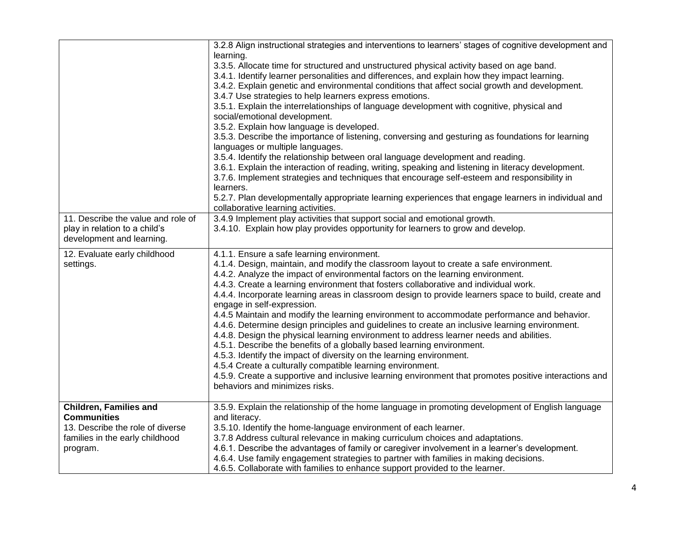| 11. Describe the value and role of<br>play in relation to a child's<br>development and learning.                                       | 3.2.8 Align instructional strategies and interventions to learners' stages of cognitive development and<br>learning.<br>3.3.5. Allocate time for structured and unstructured physical activity based on age band.<br>3.4.1. Identify learner personalities and differences, and explain how they impact learning.<br>3.4.2. Explain genetic and environmental conditions that affect social growth and development.<br>3.4.7 Use strategies to help learners express emotions.<br>3.5.1. Explain the interrelationships of language development with cognitive, physical and<br>social/emotional development.<br>3.5.2. Explain how language is developed.<br>3.5.3. Describe the importance of listening, conversing and gesturing as foundations for learning<br>languages or multiple languages.<br>3.5.4. Identify the relationship between oral language development and reading.<br>3.6.1. Explain the interaction of reading, writing, speaking and listening in literacy development.<br>3.7.6. Implement strategies and techniques that encourage self-esteem and responsibility in<br>learners.<br>5.2.7. Plan developmentally appropriate learning experiences that engage learners in individual and<br>collaborative learning activities.<br>3.4.9 Implement play activities that support social and emotional growth.<br>3.4.10. Explain how play provides opportunity for learners to grow and develop. |
|----------------------------------------------------------------------------------------------------------------------------------------|------------------------------------------------------------------------------------------------------------------------------------------------------------------------------------------------------------------------------------------------------------------------------------------------------------------------------------------------------------------------------------------------------------------------------------------------------------------------------------------------------------------------------------------------------------------------------------------------------------------------------------------------------------------------------------------------------------------------------------------------------------------------------------------------------------------------------------------------------------------------------------------------------------------------------------------------------------------------------------------------------------------------------------------------------------------------------------------------------------------------------------------------------------------------------------------------------------------------------------------------------------------------------------------------------------------------------------------------------------------------------------------------------------------------|
| 12. Evaluate early childhood<br>settings.                                                                                              | 4.1.1. Ensure a safe learning environment.<br>4.1.4. Design, maintain, and modify the classroom layout to create a safe environment.<br>4.4.2. Analyze the impact of environmental factors on the learning environment.<br>4.4.3. Create a learning environment that fosters collaborative and individual work.<br>4.4.4. Incorporate learning areas in classroom design to provide learners space to build, create and<br>engage in self-expression.<br>4.4.5 Maintain and modify the learning environment to accommodate performance and behavior.<br>4.4.6. Determine design principles and guidelines to create an inclusive learning environment.<br>4.4.8. Design the physical learning environment to address learner needs and abilities.<br>4.5.1. Describe the benefits of a globally based learning environment.<br>4.5.3. Identify the impact of diversity on the learning environment.<br>4.5.4 Create a culturally compatible learning environment.<br>4.5.9. Create a supportive and inclusive learning environment that promotes positive interactions and<br>behaviors and minimizes risks.                                                                                                                                                                                                                                                                                                           |
| <b>Children, Families and</b><br><b>Communities</b><br>13. Describe the role of diverse<br>families in the early childhood<br>program. | 3.5.9. Explain the relationship of the home language in promoting development of English language<br>and literacy.<br>3.5.10. Identify the home-language environment of each learner.<br>3.7.8 Address cultural relevance in making curriculum choices and adaptations.<br>4.6.1. Describe the advantages of family or caregiver involvement in a learner's development.<br>4.6.4. Use family engagement strategies to partner with families in making decisions.<br>4.6.5. Collaborate with families to enhance support provided to the learner.                                                                                                                                                                                                                                                                                                                                                                                                                                                                                                                                                                                                                                                                                                                                                                                                                                                                      |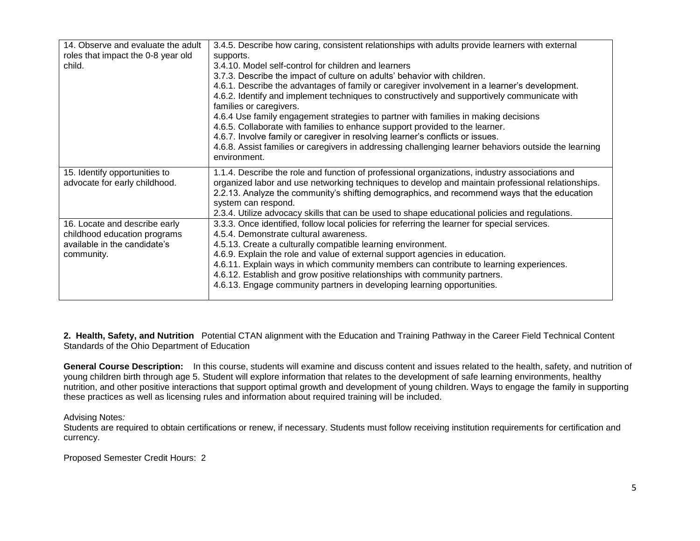| 3.4.5. Describe how caring, consistent relationships with adults provide learners with external                                                       |
|-------------------------------------------------------------------------------------------------------------------------------------------------------|
| supports.                                                                                                                                             |
| 3.4.10. Model self-control for children and learners                                                                                                  |
| 3.7.3. Describe the impact of culture on adults' behavior with children.                                                                              |
| 4.6.1. Describe the advantages of family or caregiver involvement in a learner's development.                                                         |
| 4.6.2. Identify and implement techniques to constructively and supportively communicate with<br>families or caregivers.                               |
| 4.6.4 Use family engagement strategies to partner with families in making decisions                                                                   |
| 4.6.5. Collaborate with families to enhance support provided to the learner.                                                                          |
| 4.6.7. Involve family or caregiver in resolving learner's conflicts or issues.                                                                        |
| 4.6.8. Assist families or caregivers in addressing challenging learner behaviors outside the learning                                                 |
| environment.                                                                                                                                          |
| 1.1.4. Describe the role and function of professional organizations, industry associations and                                                        |
| organized labor and use networking techniques to develop and maintain professional relationships.                                                     |
| 2.2.13. Analyze the community's shifting demographics, and recommend ways that the education                                                          |
| system can respond.                                                                                                                                   |
| 2.3.4. Utilize advocacy skills that can be used to shape educational policies and regulations.                                                        |
| 3.3.3. Once identified, follow local policies for referring the learner for special services.                                                         |
| 4.5.4. Demonstrate cultural awareness.                                                                                                                |
| 4.5.13. Create a culturally compatible learning environment.                                                                                          |
| 4.6.9. Explain the role and value of external support agencies in education.                                                                          |
|                                                                                                                                                       |
| 4.6.11. Explain ways in which community members can contribute to learning experiences.                                                               |
|                                                                                                                                                       |
| 4.6.12. Establish and grow positive relationships with community partners.<br>4.6.13. Engage community partners in developing learning opportunities. |
|                                                                                                                                                       |

**2. Health, Safety, and Nutrition** Potential CTAN alignment with the Education and Training Pathway in the Career Field Technical Content Standards of the Ohio Department of Education

**General Course Description:**In this course, students will examine and discuss content and issues related to the health, safety, and nutrition of young children birth through age 5. Student will explore information that relates to the development of safe learning environments, healthy nutrition, and other positive interactions that support optimal growth and development of young children. Ways to engage the family in supporting these practices as well as licensing rules and information about required training will be included.

Advising Notes*:*

Students are required to obtain certifications or renew, if necessary. Students must follow receiving institution requirements for certification and currency.

Proposed Semester Credit Hours: 2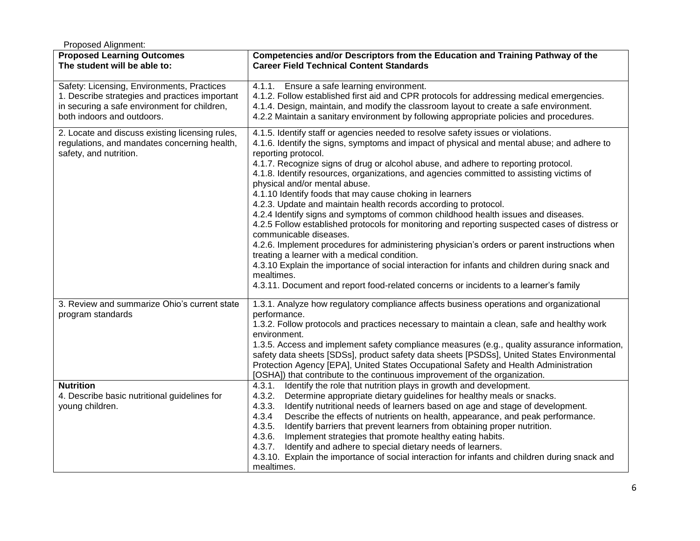| Proposed Alignment:                                                                                                                                                        |                                                                                                                                                                                                                                                                                                                                                                                                                                                                                                                                                                                                                                                                                                                                                                                                                                                                                                                                                                                                                                                                                                                                  |  |
|----------------------------------------------------------------------------------------------------------------------------------------------------------------------------|----------------------------------------------------------------------------------------------------------------------------------------------------------------------------------------------------------------------------------------------------------------------------------------------------------------------------------------------------------------------------------------------------------------------------------------------------------------------------------------------------------------------------------------------------------------------------------------------------------------------------------------------------------------------------------------------------------------------------------------------------------------------------------------------------------------------------------------------------------------------------------------------------------------------------------------------------------------------------------------------------------------------------------------------------------------------------------------------------------------------------------|--|
| <b>Proposed Learning Outcomes</b><br>The student will be able to:                                                                                                          | Competencies and/or Descriptors from the Education and Training Pathway of the<br><b>Career Field Technical Content Standards</b>                                                                                                                                                                                                                                                                                                                                                                                                                                                                                                                                                                                                                                                                                                                                                                                                                                                                                                                                                                                                |  |
| Safety: Licensing, Environments, Practices<br>1. Describe strategies and practices important<br>in securing a safe environment for children,<br>both indoors and outdoors. | 4.1.1. Ensure a safe learning environment.<br>4.1.2. Follow established first aid and CPR protocols for addressing medical emergencies.<br>4.1.4. Design, maintain, and modify the classroom layout to create a safe environment.<br>4.2.2 Maintain a sanitary environment by following appropriate policies and procedures.                                                                                                                                                                                                                                                                                                                                                                                                                                                                                                                                                                                                                                                                                                                                                                                                     |  |
| 2. Locate and discuss existing licensing rules,<br>regulations, and mandates concerning health,<br>safety, and nutrition.                                                  | 4.1.5. Identify staff or agencies needed to resolve safety issues or violations.<br>4.1.6. Identify the signs, symptoms and impact of physical and mental abuse; and adhere to<br>reporting protocol.<br>4.1.7. Recognize signs of drug or alcohol abuse, and adhere to reporting protocol.<br>4.1.8. Identify resources, organizations, and agencies committed to assisting victims of<br>physical and/or mental abuse.<br>4.1.10 Identify foods that may cause choking in learners<br>4.2.3. Update and maintain health records according to protocol.<br>4.2.4 Identify signs and symptoms of common childhood health issues and diseases.<br>4.2.5 Follow established protocols for monitoring and reporting suspected cases of distress or<br>communicable diseases.<br>4.2.6. Implement procedures for administering physician's orders or parent instructions when<br>treating a learner with a medical condition.<br>4.3.10 Explain the importance of social interaction for infants and children during snack and<br>mealtimes.<br>4.3.11. Document and report food-related concerns or incidents to a learner's family |  |
| 3. Review and summarize Ohio's current state<br>program standards                                                                                                          | 1.3.1. Analyze how regulatory compliance affects business operations and organizational<br>performance.<br>1.3.2. Follow protocols and practices necessary to maintain a clean, safe and healthy work<br>environment.<br>1.3.5. Access and implement safety compliance measures (e.g., quality assurance information,<br>safety data sheets [SDSs], product safety data sheets [PSDSs], United States Environmental<br>Protection Agency [EPA], United States Occupational Safety and Health Administration<br>[OSHA]) that contribute to the continuous improvement of the organization.                                                                                                                                                                                                                                                                                                                                                                                                                                                                                                                                        |  |
| <b>Nutrition</b><br>4. Describe basic nutritional guidelines for<br>young children.                                                                                        | Identify the role that nutrition plays in growth and development.<br>4.3.1.<br>4.3.2.<br>Determine appropriate dietary guidelines for healthy meals or snacks.<br>4.3.3.<br>Identify nutritional needs of learners based on age and stage of development.<br>4.3.4<br>Describe the effects of nutrients on health, appearance, and peak performance.<br>4.3.5.<br>Identify barriers that prevent learners from obtaining proper nutrition.<br>4.3.6.<br>Implement strategies that promote healthy eating habits.<br>4.3.7.<br>Identify and adhere to special dietary needs of learners.<br>4.3.10. Explain the importance of social interaction for infants and children during snack and<br>mealtimes.                                                                                                                                                                                                                                                                                                                                                                                                                          |  |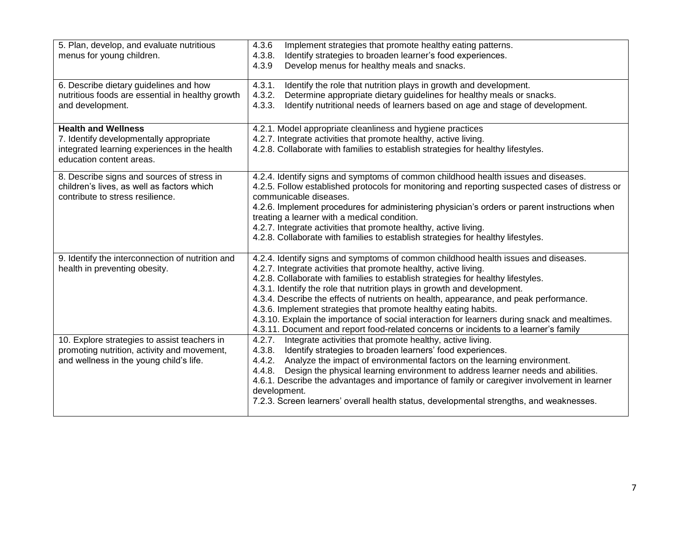| 5. Plan, develop, and evaluate nutritious<br>menus for young children.                                                                             | 4.3.6<br>Implement strategies that promote healthy eating patterns.<br>Identify strategies to broaden learner's food experiences.<br>4.3.8.<br>Develop menus for healthy meals and snacks.<br>4.3.9                                                                                                                                                                                                                                                                                                                                                                                                                                                                         |
|----------------------------------------------------------------------------------------------------------------------------------------------------|-----------------------------------------------------------------------------------------------------------------------------------------------------------------------------------------------------------------------------------------------------------------------------------------------------------------------------------------------------------------------------------------------------------------------------------------------------------------------------------------------------------------------------------------------------------------------------------------------------------------------------------------------------------------------------|
| 6. Describe dietary guidelines and how<br>nutritious foods are essential in healthy growth<br>and development.                                     | 4.3.1.<br>Identify the role that nutrition plays in growth and development.<br>4.3.2.<br>Determine appropriate dietary guidelines for healthy meals or snacks.<br>Identify nutritional needs of learners based on age and stage of development.<br>4.3.3.                                                                                                                                                                                                                                                                                                                                                                                                                   |
| <b>Health and Wellness</b><br>7. Identify developmentally appropriate<br>integrated learning experiences in the health<br>education content areas. | 4.2.1. Model appropriate cleanliness and hygiene practices<br>4.2.7. Integrate activities that promote healthy, active living.<br>4.2.8. Collaborate with families to establish strategies for healthy lifestyles.                                                                                                                                                                                                                                                                                                                                                                                                                                                          |
| 8. Describe signs and sources of stress in<br>children's lives, as well as factors which<br>contribute to stress resilience.                       | 4.2.4. Identify signs and symptoms of common childhood health issues and diseases.<br>4.2.5. Follow established protocols for monitoring and reporting suspected cases of distress or<br>communicable diseases.<br>4.2.6. Implement procedures for administering physician's orders or parent instructions when<br>treating a learner with a medical condition.<br>4.2.7. Integrate activities that promote healthy, active living.<br>4.2.8. Collaborate with families to establish strategies for healthy lifestyles.                                                                                                                                                     |
| 9. Identify the interconnection of nutrition and<br>health in preventing obesity.                                                                  | 4.2.4. Identify signs and symptoms of common childhood health issues and diseases.<br>4.2.7. Integrate activities that promote healthy, active living.<br>4.2.8. Collaborate with families to establish strategies for healthy lifestyles.<br>4.3.1. Identify the role that nutrition plays in growth and development.<br>4.3.4. Describe the effects of nutrients on health, appearance, and peak performance.<br>4.3.6. Implement strategies that promote healthy eating habits.<br>4.3.10. Explain the importance of social interaction for learners during snack and mealtimes.<br>4.3.11. Document and report food-related concerns or incidents to a learner's family |
| 10. Explore strategies to assist teachers in<br>promoting nutrition, activity and movement,<br>and wellness in the young child's life.             | Integrate activities that promote healthy, active living.<br>4.2.7.<br>Identify strategies to broaden learners' food experiences.<br>4.3.8.<br>Analyze the impact of environmental factors on the learning environment.<br>4.4.2.<br>4.4.8. Design the physical learning environment to address learner needs and abilities.<br>4.6.1. Describe the advantages and importance of family or caregiver involvement in learner<br>development.<br>7.2.3. Screen learners' overall health status, developmental strengths, and weaknesses.                                                                                                                                      |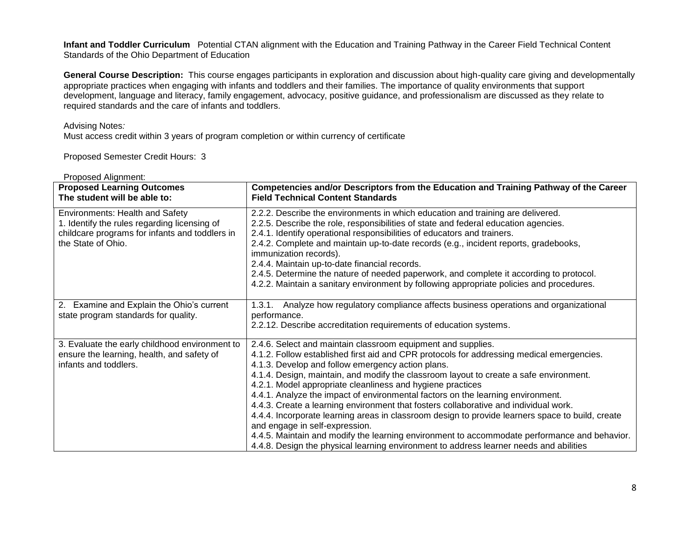**Infant and Toddler Curriculum** Potential CTAN alignment with the Education and Training Pathway in the Career Field Technical Content Standards of the Ohio Department of Education

**General Course Description:**This course engages participants in exploration and discussion about high-quality care giving and developmentally appropriate practices when engaging with infants and toddlers and their families. The importance of quality environments that support development, language and literacy, family engagement, advocacy, positive guidance, and professionalism are discussed as they relate to required standards and the care of infants and toddlers.

## Advising Notes*:*

Must access credit within 3 years of program completion or within currency of certificate

Proposed Semester Credit Hours: 3

| <b>Proposed Learning Outcomes</b><br>The student will be able to:                                                                                              | Competencies and/or Descriptors from the Education and Training Pathway of the Career<br><b>Field Technical Content Standards</b>                                                                                                                                                                                                                                                                                                                                                                                                                                                                                                                                                                                                                                                                                                                                                 |
|----------------------------------------------------------------------------------------------------------------------------------------------------------------|-----------------------------------------------------------------------------------------------------------------------------------------------------------------------------------------------------------------------------------------------------------------------------------------------------------------------------------------------------------------------------------------------------------------------------------------------------------------------------------------------------------------------------------------------------------------------------------------------------------------------------------------------------------------------------------------------------------------------------------------------------------------------------------------------------------------------------------------------------------------------------------|
| <b>Environments: Health and Safety</b><br>1. Identify the rules regarding licensing of<br>childcare programs for infants and toddlers in<br>the State of Ohio. | 2.2.2. Describe the environments in which education and training are delivered.<br>2.2.5. Describe the role, responsibilities of state and federal education agencies.<br>2.4.1. Identify operational responsibilities of educators and trainers.<br>2.4.2. Complete and maintain up-to-date records (e.g., incident reports, gradebooks,<br>immunization records).<br>2.4.4. Maintain up-to-date financial records.<br>2.4.5. Determine the nature of needed paperwork, and complete it according to protocol.<br>4.2.2. Maintain a sanitary environment by following appropriate policies and procedures.                                                                                                                                                                                                                                                                       |
| 2. Examine and Explain the Ohio's current<br>state program standards for quality.                                                                              | Analyze how regulatory compliance affects business operations and organizational<br>1.3.1.<br>performance.<br>2.2.12. Describe accreditation requirements of education systems.                                                                                                                                                                                                                                                                                                                                                                                                                                                                                                                                                                                                                                                                                                   |
| 3. Evaluate the early childhood environment to<br>ensure the learning, health, and safety of<br>infants and toddlers.                                          | 2.4.6. Select and maintain classroom equipment and supplies.<br>4.1.2. Follow established first aid and CPR protocols for addressing medical emergencies.<br>4.1.3. Develop and follow emergency action plans.<br>4.1.4. Design, maintain, and modify the classroom layout to create a safe environment.<br>4.2.1. Model appropriate cleanliness and hygiene practices<br>4.4.1. Analyze the impact of environmental factors on the learning environment.<br>4.4.3. Create a learning environment that fosters collaborative and individual work.<br>4.4.4. Incorporate learning areas in classroom design to provide learners space to build, create<br>and engage in self-expression.<br>4.4.5. Maintain and modify the learning environment to accommodate performance and behavior.<br>4.4.8. Design the physical learning environment to address learner needs and abilities |

Proposed Alignment: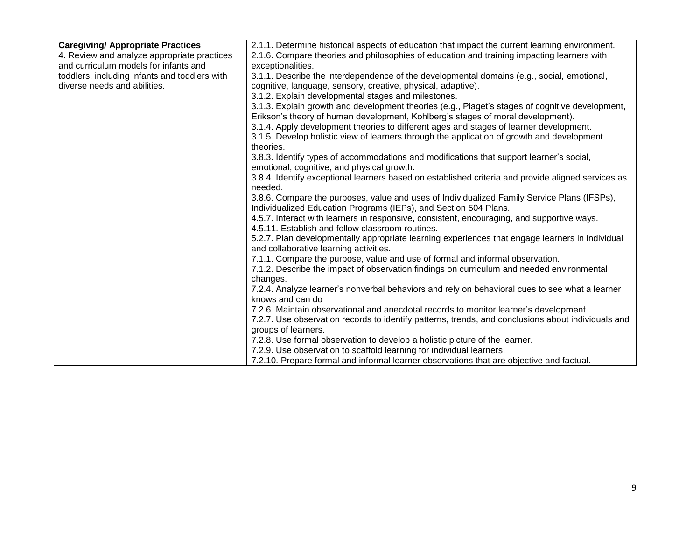| <b>Caregiving/ Appropriate Practices</b>      | 2.1.1. Determine historical aspects of education that impact the current learning environment.                                            |
|-----------------------------------------------|-------------------------------------------------------------------------------------------------------------------------------------------|
| 4. Review and analyze appropriate practices   | 2.1.6. Compare theories and philosophies of education and training impacting learners with                                                |
| and curriculum models for infants and         | exceptionalities.                                                                                                                         |
| toddlers, including infants and toddlers with | 3.1.1. Describe the interdependence of the developmental domains (e.g., social, emotional,                                                |
| diverse needs and abilities.                  | cognitive, language, sensory, creative, physical, adaptive).                                                                              |
|                                               | 3.1.2. Explain developmental stages and milestones.                                                                                       |
|                                               | 3.1.3. Explain growth and development theories (e.g., Piaget's stages of cognitive development,                                           |
|                                               | Erikson's theory of human development, Kohlberg's stages of moral development).                                                           |
|                                               | 3.1.4. Apply development theories to different ages and stages of learner development.                                                    |
|                                               | 3.1.5. Develop holistic view of learners through the application of growth and development                                                |
|                                               | theories.                                                                                                                                 |
|                                               | 3.8.3. Identify types of accommodations and modifications that support learner's social,                                                  |
|                                               | emotional, cognitive, and physical growth.                                                                                                |
|                                               | 3.8.4. Identify exceptional learners based on established criteria and provide aligned services as                                        |
|                                               | needed.                                                                                                                                   |
|                                               | 3.8.6. Compare the purposes, value and uses of Individualized Family Service Plans (IFSPs),                                               |
|                                               | Individualized Education Programs (IEPs), and Section 504 Plans.                                                                          |
|                                               | 4.5.7. Interact with learners in responsive, consistent, encouraging, and supportive ways.                                                |
|                                               | 4.5.11. Establish and follow classroom routines.                                                                                          |
|                                               | 5.2.7. Plan developmentally appropriate learning experiences that engage learners in individual<br>and collaborative learning activities. |
|                                               | 7.1.1. Compare the purpose, value and use of formal and informal observation.                                                             |
|                                               | 7.1.2. Describe the impact of observation findings on curriculum and needed environmental                                                 |
|                                               | changes.                                                                                                                                  |
|                                               | 7.2.4. Analyze learner's nonverbal behaviors and rely on behavioral cues to see what a learner                                            |
|                                               | knows and can do                                                                                                                          |
|                                               | 7.2.6. Maintain observational and anecdotal records to monitor learner's development.                                                     |
|                                               | 7.2.7. Use observation records to identify patterns, trends, and conclusions about individuals and                                        |
|                                               | groups of learners.                                                                                                                       |
|                                               | 7.2.8. Use formal observation to develop a holistic picture of the learner.                                                               |
|                                               | 7.2.9. Use observation to scaffold learning for individual learners.                                                                      |
|                                               | 7.2.10. Prepare formal and informal learner observations that are objective and factual.                                                  |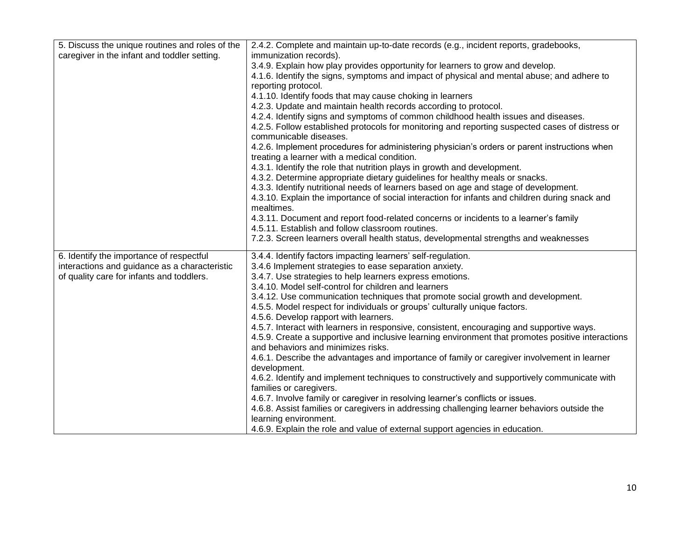| 5. Discuss the unique routines and roles of the | 2.4.2. Complete and maintain up-to-date records (e.g., incident reports, gradebooks,              |
|-------------------------------------------------|---------------------------------------------------------------------------------------------------|
| caregiver in the infant and toddler setting.    | immunization records).                                                                            |
|                                                 | 3.4.9. Explain how play provides opportunity for learners to grow and develop.                    |
|                                                 | 4.1.6. Identify the signs, symptoms and impact of physical and mental abuse; and adhere to        |
|                                                 | reporting protocol.                                                                               |
|                                                 | 4.1.10. Identify foods that may cause choking in learners                                         |
|                                                 | 4.2.3. Update and maintain health records according to protocol.                                  |
|                                                 | 4.2.4. Identify signs and symptoms of common childhood health issues and diseases.                |
|                                                 | 4.2.5. Follow established protocols for monitoring and reporting suspected cases of distress or   |
|                                                 | communicable diseases.                                                                            |
|                                                 | 4.2.6. Implement procedures for administering physician's orders or parent instructions when      |
|                                                 | treating a learner with a medical condition.                                                      |
|                                                 | 4.3.1. Identify the role that nutrition plays in growth and development.                          |
|                                                 | 4.3.2. Determine appropriate dietary guidelines for healthy meals or snacks.                      |
|                                                 | 4.3.3. Identify nutritional needs of learners based on age and stage of development.              |
|                                                 | 4.3.10. Explain the importance of social interaction for infants and children during snack and    |
|                                                 | mealtimes.                                                                                        |
|                                                 | 4.3.11. Document and report food-related concerns or incidents to a learner's family              |
|                                                 | 4.5.11. Establish and follow classroom routines.                                                  |
|                                                 | 7.2.3. Screen learners overall health status, developmental strengths and weaknesses              |
| 6. Identify the importance of respectful        | 3.4.4. Identify factors impacting learners' self-regulation.                                      |
| interactions and guidance as a characteristic   | 3.4.6 Implement strategies to ease separation anxiety.                                            |
| of quality care for infants and toddlers.       | 3.4.7. Use strategies to help learners express emotions.                                          |
|                                                 | 3.4.10. Model self-control for children and learners                                              |
|                                                 | 3.4.12. Use communication techniques that promote social growth and development.                  |
|                                                 | 4.5.5. Model respect for individuals or groups' culturally unique factors.                        |
|                                                 | 4.5.6. Develop rapport with learners.                                                             |
|                                                 | 4.5.7. Interact with learners in responsive, consistent, encouraging and supportive ways.         |
|                                                 | 4.5.9. Create a supportive and inclusive learning environment that promotes positive interactions |
|                                                 | and behaviors and minimizes risks.                                                                |
|                                                 | 4.6.1. Describe the advantages and importance of family or caregiver involvement in learner       |
|                                                 | development.                                                                                      |
|                                                 | 4.6.2. Identify and implement techniques to constructively and supportively communicate with      |
|                                                 | families or caregivers.                                                                           |
|                                                 | 4.6.7. Involve family or caregiver in resolving learner's conflicts or issues.                    |
|                                                 | 4.6.8. Assist families or caregivers in addressing challenging learner behaviors outside the      |
|                                                 | learning environment.                                                                             |
|                                                 | 4.6.9. Explain the role and value of external support agencies in education.                      |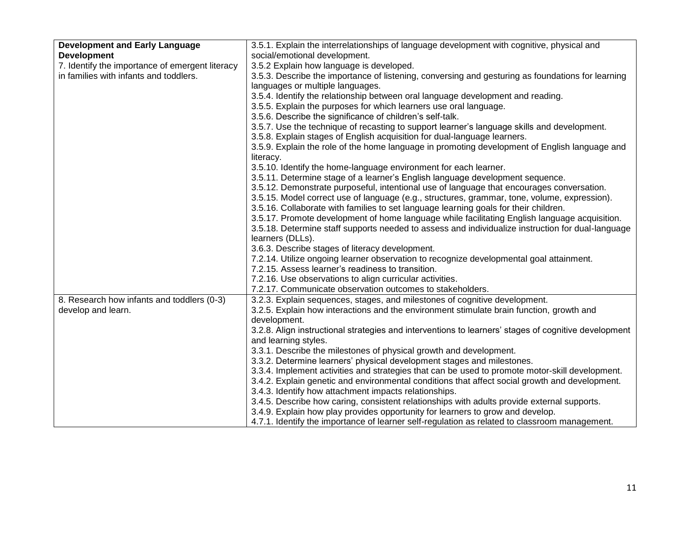| <b>Development and Early Language</b>           | 3.5.1. Explain the interrelationships of language development with cognitive, physical and           |
|-------------------------------------------------|------------------------------------------------------------------------------------------------------|
| <b>Development</b>                              | social/emotional development.                                                                        |
| 7. Identify the importance of emergent literacy | 3.5.2 Explain how language is developed.                                                             |
| in families with infants and toddlers.          | 3.5.3. Describe the importance of listening, conversing and gesturing as foundations for learning    |
|                                                 | languages or multiple languages.                                                                     |
|                                                 | 3.5.4. Identify the relationship between oral language development and reading.                      |
|                                                 | 3.5.5. Explain the purposes for which learners use oral language.                                    |
|                                                 | 3.5.6. Describe the significance of children's self-talk.                                            |
|                                                 | 3.5.7. Use the technique of recasting to support learner's language skills and development.          |
|                                                 | 3.5.8. Explain stages of English acquisition for dual-language learners.                             |
|                                                 | 3.5.9. Explain the role of the home language in promoting development of English language and        |
|                                                 | literacy.                                                                                            |
|                                                 | 3.5.10. Identify the home-language environment for each learner.                                     |
|                                                 | 3.5.11. Determine stage of a learner's English language development sequence.                        |
|                                                 | 3.5.12. Demonstrate purposeful, intentional use of language that encourages conversation.            |
|                                                 | 3.5.15. Model correct use of language (e.g., structures, grammar, tone, volume, expression).         |
|                                                 | 3.5.16. Collaborate with families to set language learning goals for their children.                 |
|                                                 | 3.5.17. Promote development of home language while facilitating English language acquisition.        |
|                                                 | 3.5.18. Determine staff supports needed to assess and individualize instruction for dual-language    |
|                                                 | learners (DLLs).                                                                                     |
|                                                 | 3.6.3. Describe stages of literacy development.                                                      |
|                                                 | 7.2.14. Utilize ongoing learner observation to recognize developmental goal attainment.              |
|                                                 | 7.2.15. Assess learner's readiness to transition.                                                    |
|                                                 | 7.2.16. Use observations to align curricular activities.                                             |
|                                                 | 7.2.17. Communicate observation outcomes to stakeholders.                                            |
| 8. Research how infants and toddlers (0-3)      | 3.2.3. Explain sequences, stages, and milestones of cognitive development.                           |
| develop and learn.                              | 3.2.5. Explain how interactions and the environment stimulate brain function, growth and             |
|                                                 | development.                                                                                         |
|                                                 | 3.2.8. Align instructional strategies and interventions to learners' stages of cognitive development |
|                                                 | and learning styles.                                                                                 |
|                                                 | 3.3.1. Describe the milestones of physical growth and development.                                   |
|                                                 | 3.3.2. Determine learners' physical development stages and milestones.                               |
|                                                 | 3.3.4. Implement activities and strategies that can be used to promote motor-skill development.      |
|                                                 | 3.4.2. Explain genetic and environmental conditions that affect social growth and development.       |
|                                                 | 3.4.3. Identify how attachment impacts relationships.                                                |
|                                                 | 3.4.5. Describe how caring, consistent relationships with adults provide external supports.          |
|                                                 | 3.4.9. Explain how play provides opportunity for learners to grow and develop.                       |
|                                                 | 4.7.1. Identify the importance of learner self-regulation as related to classroom management.        |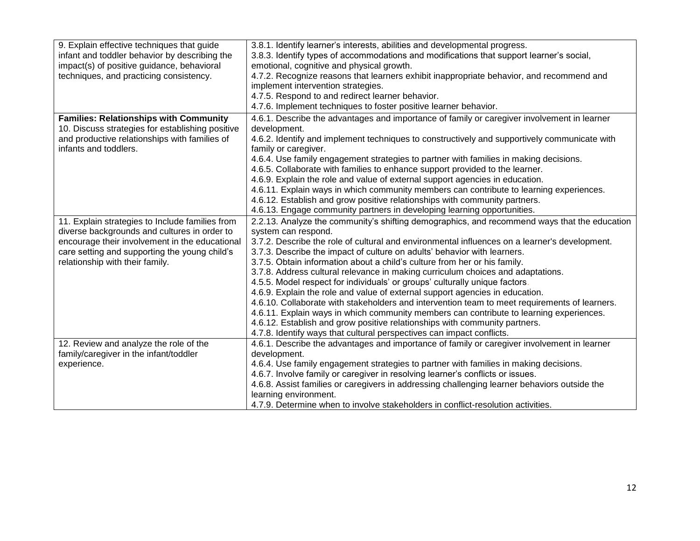| 9. Explain effective techniques that guide       | 3.8.1. Identify learner's interests, abilities and developmental progress.                    |
|--------------------------------------------------|-----------------------------------------------------------------------------------------------|
| infant and toddler behavior by describing the    | 3.8.3. Identify types of accommodations and modifications that support learner's social,      |
| impact(s) of positive guidance, behavioral       | emotional, cognitive and physical growth.                                                     |
| techniques, and practicing consistency.          | 4.7.2. Recognize reasons that learners exhibit inappropriate behavior, and recommend and      |
|                                                  | implement intervention strategies.                                                            |
|                                                  | 4.7.5. Respond to and redirect learner behavior.                                              |
|                                                  | 4.7.6. Implement techniques to foster positive learner behavior.                              |
| <b>Families: Relationships with Community</b>    | 4.6.1. Describe the advantages and importance of family or caregiver involvement in learner   |
| 10. Discuss strategies for establishing positive | development.                                                                                  |
| and productive relationships with families of    | 4.6.2. Identify and implement techniques to constructively and supportively communicate with  |
| infants and toddlers.                            | family or caregiver.                                                                          |
|                                                  | 4.6.4. Use family engagement strategies to partner with families in making decisions.         |
|                                                  | 4.6.5. Collaborate with families to enhance support provided to the learner.                  |
|                                                  | 4.6.9. Explain the role and value of external support agencies in education.                  |
|                                                  | 4.6.11. Explain ways in which community members can contribute to learning experiences.       |
|                                                  | 4.6.12. Establish and grow positive relationships with community partners.                    |
|                                                  | 4.6.13. Engage community partners in developing learning opportunities.                       |
| 11. Explain strategies to Include families from  | 2.2.13. Analyze the community's shifting demographics, and recommend ways that the education  |
| diverse backgrounds and cultures in order to     | system can respond.                                                                           |
| encourage their involvement in the educational   | 3.7.2. Describe the role of cultural and environmental influences on a learner's development. |
| care setting and supporting the young child's    | 3.7.3. Describe the impact of culture on adults' behavior with learners.                      |
| relationship with their family.                  | 3.7.5. Obtain information about a child's culture from her or his family.                     |
|                                                  | 3.7.8. Address cultural relevance in making curriculum choices and adaptations.               |
|                                                  | 4.5.5. Model respect for individuals' or groups' culturally unique factors.                   |
|                                                  | 4.6.9. Explain the role and value of external support agencies in education.                  |
|                                                  | 4.6.10. Collaborate with stakeholders and intervention team to meet requirements of learners. |
|                                                  | 4.6.11. Explain ways in which community members can contribute to learning experiences.       |
|                                                  | 4.6.12. Establish and grow positive relationships with community partners.                    |
|                                                  | 4.7.8. Identify ways that cultural perspectives can impact conflicts.                         |
| 12. Review and analyze the role of the           | 4.6.1. Describe the advantages and importance of family or caregiver involvement in learner   |
| family/caregiver in the infant/toddler           | development.                                                                                  |
| experience.                                      | 4.6.4. Use family engagement strategies to partner with families in making decisions.         |
|                                                  | 4.6.7. Involve family or caregiver in resolving learner's conflicts or issues.                |
|                                                  | 4.6.8. Assist families or caregivers in addressing challenging learner behaviors outside the  |
|                                                  | learning environment.                                                                         |
|                                                  | 4.7.9. Determine when to involve stakeholders in conflict-resolution activities.              |